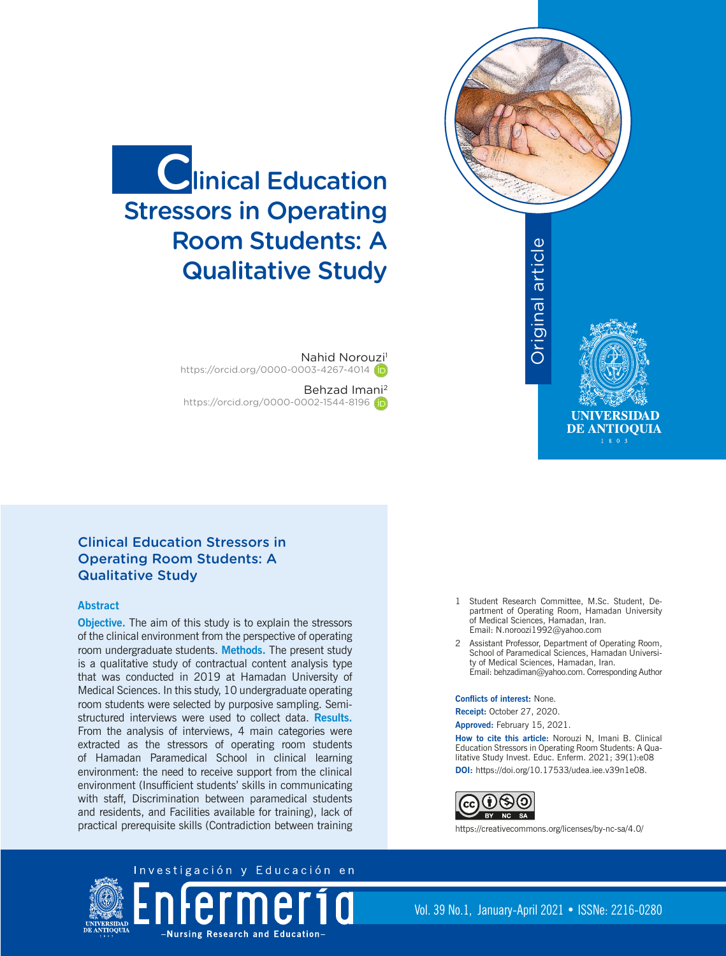

Nahid Norouzi<sup>1</sup> https://orcid.org/0000-0003-4267-4014

Behzad Imani2 https://orcid.org/0000-0002-1544-8196



### **Abstract**

**Objective.** The aim of this study is to explain the stressors of the clinical environment from the perspective of operating room undergraduate students. **Methods.** The present study is a qualitative study of contractual content analysis type that was conducted in 2019 at Hamadan University of Medical Sciences. In this study, 10 undergraduate operating room students were selected by purposive sampling. Semistructured interviews were used to collect data. **Results.**  From the analysis of interviews, 4 main categories were extracted as the stressors of operating room students of Hamadan Paramedical School in clinical learning environment: the need to receive support from the clinical environment (Insufficient students' skills in communicating with staff, Discrimination between paramedical students and residents, and Facilities available for training), lack of practical prerequisite skills (Contradiction between training

Investigación y Educación en

-Nursing Research and Education-



- 1 Student Research Committee, M.Sc. Student, Department of Operating Room, Hamadan University of Medical Sciences, Hamadan, Iran. Email: N.noroozi1992@yahoo.com 2 Assistant Professor, Department of Operating Room,
- School of Paramedical Sciences, Hamadan University of Medical Sciences, Hamadan, Iran. Email: behzadiman@yahoo.com. Corresponding Author

#### **Conflicts of interest:** None.

**Receipt:** October 27, 2020.

**Approved:** February 15, 2021.

**How to cite this article:** Norouzi N, Imani B. Clinical Education Stressors in Operating Room Students: A Qualitative Study Invest. Educ. Enferm. 2021; 39(1):e08 **DOI:** https://doi.org/10.17533/udea.iee.v39n1e08.



https://creativecommons.org/licenses/by-nc-sa/4.0/



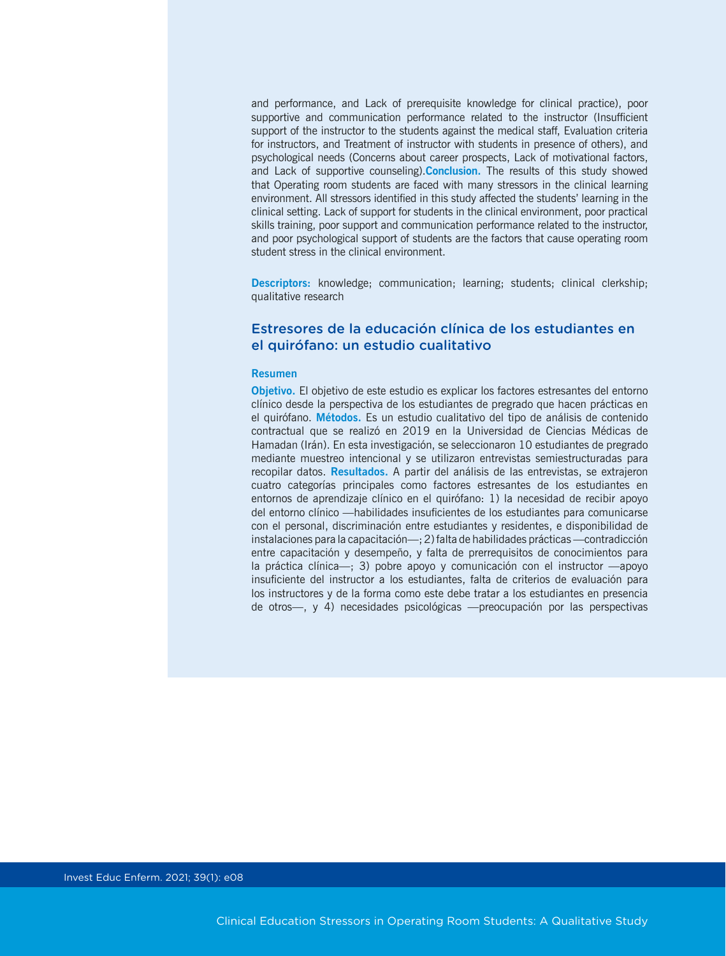and performance, and Lack of prerequisite knowledge for clinical practice), poor supportive and communication performance related to the instructor (Insufficient support of the instructor to the students against the medical staff, Evaluation criteria for instructors, and Treatment of instructor with students in presence of others), and psychological needs (Concerns about career prospects, Lack of motivational factors, and Lack of supportive counseling).**Conclusion.** The results of this study showed that Operating room students are faced with many stressors in the clinical learning environment. All stressors identified in this study affected the students' learning in the clinical setting. Lack of support for students in the clinical environment, poor practical skills training, poor support and communication performance related to the instructor, and poor psychological support of students are the factors that cause operating room student stress in the clinical environment.

**Descriptors:** knowledge; communication; learning; students; clinical clerkship; qualitative research

### Estresores de la educación clínica de los estudiantes en el quirófano: un estudio cualitativo

### **Resumen**

**Objetivo.** El objetivo de este estudio es explicar los factores estresantes del entorno clínico desde la perspectiva de los estudiantes de pregrado que hacen prácticas en el quirófano. **Métodos.** Es un estudio cualitativo del tipo de análisis de contenido contractual que se realizó en 2019 en la Universidad de Ciencias Médicas de Hamadan (Irán). En esta investigación, se seleccionaron 10 estudiantes de pregrado mediante muestreo intencional y se utilizaron entrevistas semiestructuradas para recopilar datos. **Resultados.** A partir del análisis de las entrevistas, se extrajeron cuatro categorías principales como factores estresantes de los estudiantes en entornos de aprendizaje clínico en el quirófano: 1) la necesidad de recibir apoyo del entorno clínico —habilidades insuficientes de los estudiantes para comunicarse con el personal, discriminación entre estudiantes y residentes, e disponibilidad de instalaciones para la capacitación—; 2) falta de habilidades prácticas —contradicción entre capacitación y desempeño, y falta de prerrequisitos de conocimientos para la práctica clínica—; 3) pobre apoyo y comunicación con el instructor —apoyo insuficiente del instructor a los estudiantes, falta de criterios de evaluación para los instructores y de la forma como este debe tratar a los estudiantes en presencia de otros—, y 4) necesidades psicológicas —preocupación por las perspectivas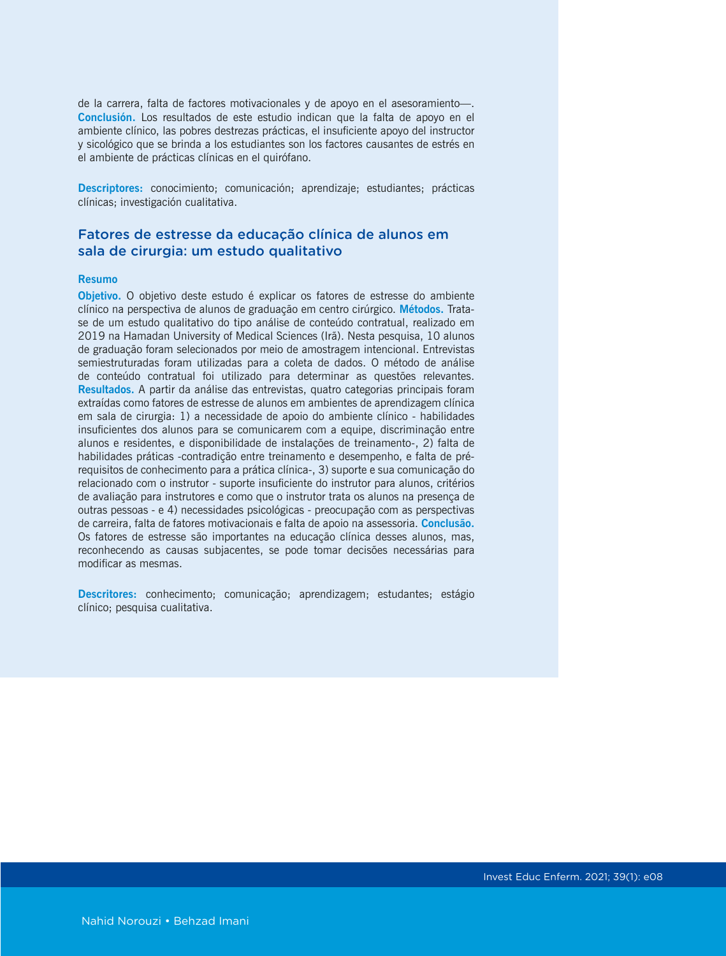de la carrera, falta de factores motivacionales y de apoyo en el asesoramiento—. **Conclusión.** Los resultados de este estudio indican que la falta de apoyo en el ambiente clínico, las pobres destrezas prácticas, el insuficiente apoyo del instructor y sicológico que se brinda a los estudiantes son los factores causantes de estrés en el ambiente de prácticas clínicas en el quirófano.

**Descriptores:** conocimiento; comunicación; aprendizaje; estudiantes; prácticas clínicas; investigación cualitativa.

### Fatores de estresse da educação clínica de alunos em sala de cirurgia: um estudo qualitativo

### **Resumo**

**Objetivo.** O objetivo deste estudo é explicar os fatores de estresse do ambiente clínico na perspectiva de alunos de graduação em centro cirúrgico. **Métodos.** Tratase de um estudo qualitativo do tipo análise de conteúdo contratual, realizado em 2019 na Hamadan University of Medical Sciences (Irã). Nesta pesquisa, 10 alunos de graduação foram selecionados por meio de amostragem intencional. Entrevistas semiestruturadas foram utilizadas para a coleta de dados. O método de análise de conteúdo contratual foi utilizado para determinar as questões relevantes. **Resultados.** A partir da análise das entrevistas, quatro categorias principais foram extraídas como fatores de estresse de alunos em ambientes de aprendizagem clínica em sala de cirurgia: 1) a necessidade de apoio do ambiente clínico - habilidades insuficientes dos alunos para se comunicarem com a equipe, discriminação entre alunos e residentes, e disponibilidade de instalações de treinamento-, 2) falta de habilidades práticas -contradição entre treinamento e desempenho, e falta de prérequisitos de conhecimento para a prática clínica-, 3) suporte e sua comunicação do relacionado com o instrutor - suporte insuficiente do instrutor para alunos, critérios de avaliação para instrutores e como que o instrutor trata os alunos na presença de outras pessoas - e 4) necessidades psicológicas - preocupação com as perspectivas de carreira, falta de fatores motivacionais e falta de apoio na assessoria. **Conclusão.**  Os fatores de estresse são importantes na educação clínica desses alunos, mas, reconhecendo as causas subjacentes, se pode tomar decisões necessárias para modificar as mesmas.

**Descritores:** conhecimento; comunicação; aprendizagem; estudantes; estágio clínico; pesquisa cualitativa.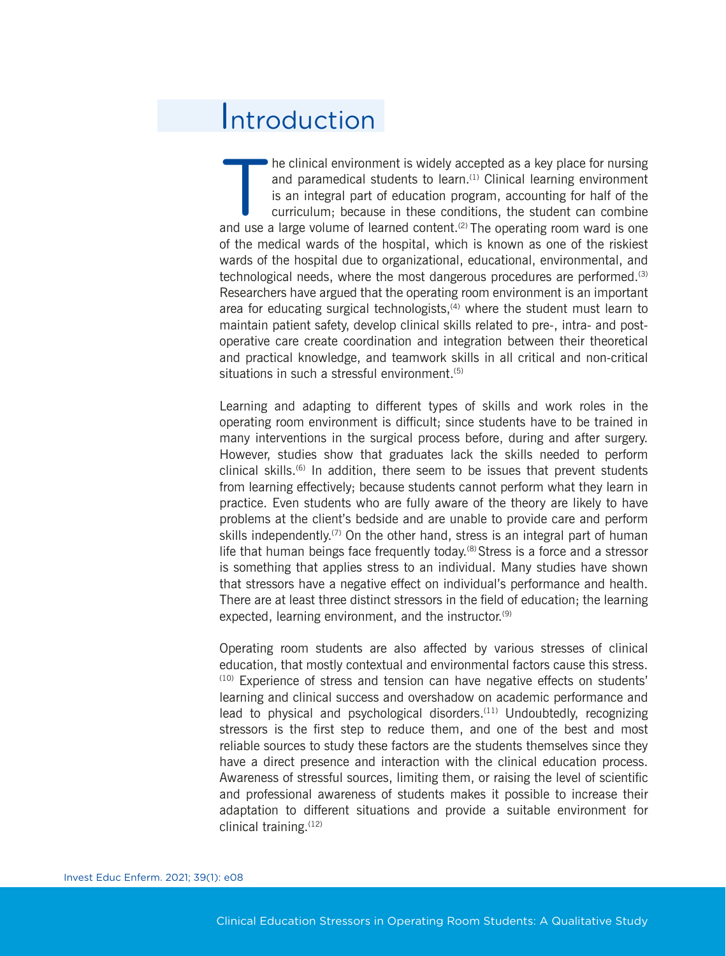### **Introduction**

he clinical environment is widely accepted as a key place for nursing and paramedical students to learn.<sup>(1)</sup> Clinical learning environment is an integral part of education program, accounting for half of the curriculum; because in these conditions, the student can combine and use a large volume of learned content.<sup>(2)</sup> The operating room ward is one of the medical wards of the hospital, which is known as one of the riskiest wards of the hospital due to organizational, educational, environmental, and technological needs, where the most dangerous procedures are performed.(3) Researchers have argued that the operating room environment is an important area for educating surgical technologists, $(4)$  where the student must learn to maintain patient safety, develop clinical skills related to pre-, intra- and postoperative care create coordination and integration between their theoretical and practical knowledge, and teamwork skills in all critical and non-critical situations in such a stressful environment.<sup>(5)</sup>

Learning and adapting to different types of skills and work roles in the operating room environment is difficult; since students have to be trained in many interventions in the surgical process before, during and after surgery. However, studies show that graduates lack the skills needed to perform clinical skills.(6) In addition, there seem to be issues that prevent students from learning effectively; because students cannot perform what they learn in practice. Even students who are fully aware of the theory are likely to have problems at the client's bedside and are unable to provide care and perform skills independently.<sup>(7)</sup> On the other hand, stress is an integral part of human life that human beings face frequently today.<sup>(8)</sup> Stress is a force and a stressor is something that applies stress to an individual. Many studies have shown that stressors have a negative effect on individual's performance and health. There are at least three distinct stressors in the field of education; the learning expected, learning environment, and the instructor.<sup>(9)</sup>

Operating room students are also affected by various stresses of clinical education, that mostly contextual and environmental factors cause this stress. (10) Experience of stress and tension can have negative effects on students' learning and clinical success and overshadow on academic performance and lead to physical and psychological disorders.<sup>(11)</sup> Undoubtedly, recognizing stressors is the first step to reduce them, and one of the best and most reliable sources to study these factors are the students themselves since they have a direct presence and interaction with the clinical education process. Awareness of stressful sources, limiting them, or raising the level of scientific and professional awareness of students makes it possible to increase their adaptation to different situations and provide a suitable environment for clinical training.(12)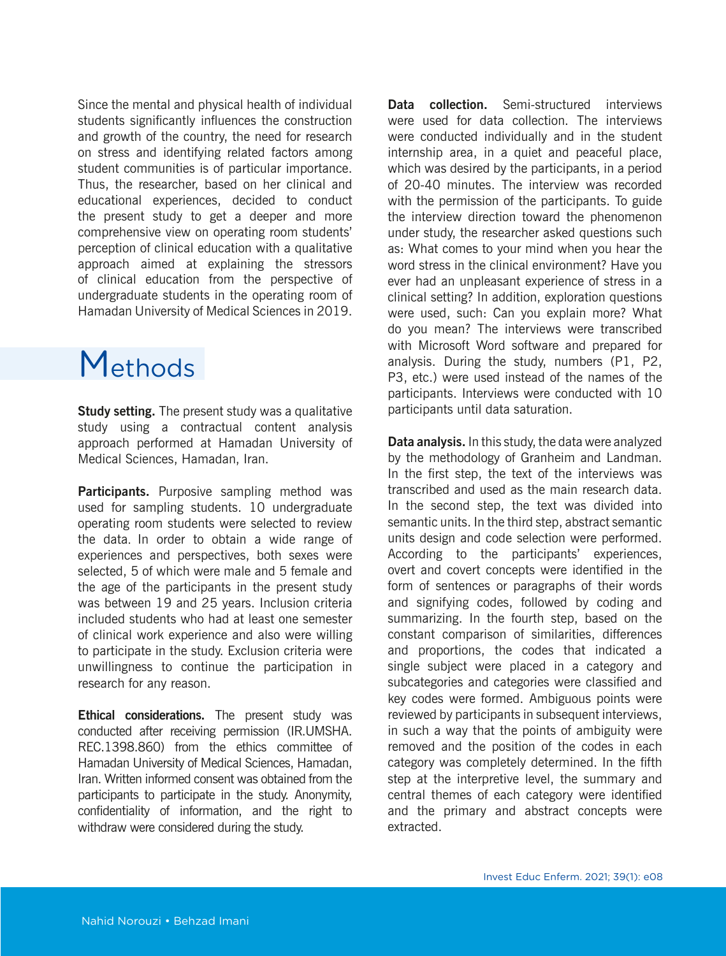Since the mental and physical health of individual students significantly influences the construction and growth of the country, the need for research on stress and identifying related factors among student communities is of particular importance. Thus, the researcher, based on her clinical and educational experiences, decided to conduct the present study to get a deeper and more comprehensive view on operating room students' perception of clinical education with a qualitative approach aimed at explaining the stressors of clinical education from the perspective of undergraduate students in the operating room of Hamadan University of Medical Sciences in 2019.

# Methods

**Study setting.** The present study was a qualitative study using a contractual content analysis approach performed at Hamadan University of Medical Sciences, Hamadan, Iran.

**Participants.** Purposive sampling method was used for sampling students. 10 undergraduate operating room students were selected to review the data. In order to obtain a wide range of experiences and perspectives, both sexes were selected, 5 of which were male and 5 female and the age of the participants in the present study was between 19 and 25 years. Inclusion criteria included students who had at least one semester of clinical work experience and also were willing to participate in the study. Exclusion criteria were unwillingness to continue the participation in research for any reason.

**Ethical considerations.** The present study was conducted after receiving permission (IR.UMSHA. REC.1398.860) from the ethics committee of Hamadan University of Medical Sciences, Hamadan, Iran. Written informed consent was obtained from the participants to participate in the study. Anonymity, confidentiality of information, and the right to withdraw were considered during the study.

**Data collection.** Semi-structured interviews were used for data collection. The interviews were conducted individually and in the student internship area, in a quiet and peaceful place, which was desired by the participants, in a period of 20-40 minutes. The interview was recorded with the permission of the participants. To guide the interview direction toward the phenomenon under study, the researcher asked questions such as: What comes to your mind when you hear the word stress in the clinical environment? Have you ever had an unpleasant experience of stress in a clinical setting? In addition, exploration questions were used, such: Can you explain more? What do you mean? The interviews were transcribed with Microsoft Word software and prepared for analysis. During the study, numbers (P1, P2, P3, etc.) were used instead of the names of the participants. Interviews were conducted with 10 participants until data saturation.

**Data analysis.** In this study, the data were analyzed by the methodology of Granheim and Landman. In the first step, the text of the interviews was transcribed and used as the main research data. In the second step, the text was divided into semantic units. In the third step, abstract semantic units design and code selection were performed. According to the participants' experiences, overt and covert concepts were identified in the form of sentences or paragraphs of their words and signifying codes, followed by coding and summarizing. In the fourth step, based on the constant comparison of similarities, differences and proportions, the codes that indicated a single subject were placed in a category and subcategories and categories were classified and key codes were formed. Ambiguous points were reviewed by participants in subsequent interviews, in such a way that the points of ambiguity were removed and the position of the codes in each category was completely determined. In the fifth step at the interpretive level, the summary and central themes of each category were identified and the primary and abstract concepts were extracted.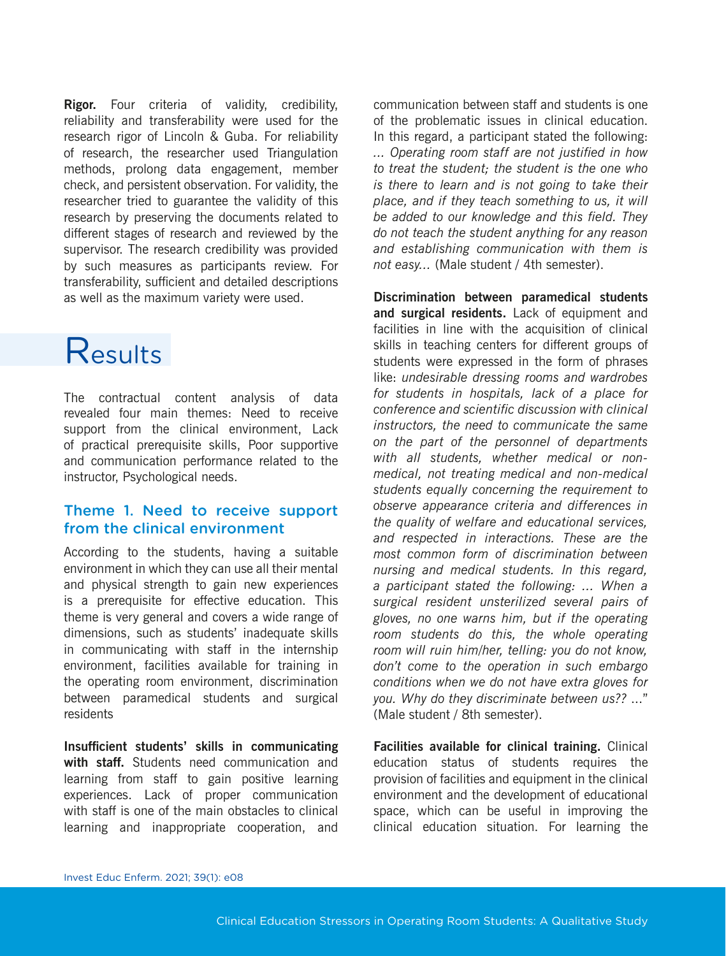**Rigor.** Four criteria of validity, credibility, reliability and transferability were used for the research rigor of Lincoln & Guba. For reliability of research, the researcher used Triangulation methods, prolong data engagement, member check, and persistent observation. For validity, the researcher tried to guarantee the validity of this research by preserving the documents related to different stages of research and reviewed by the supervisor. The research credibility was provided by such measures as participants review. For transferability, sufficient and detailed descriptions as well as the maximum variety were used.

### Results

The contractual content analysis of data revealed four main themes: Need to receive support from the clinical environment, Lack of practical prerequisite skills, Poor supportive and communication performance related to the instructor, Psychological needs.

### Theme 1. Need to receive support from the clinical environment

According to the students, having a suitable environment in which they can use all their mental and physical strength to gain new experiences is a prerequisite for effective education. This theme is very general and covers a wide range of dimensions, such as students' inadequate skills in communicating with staff in the internship environment, facilities available for training in the operating room environment, discrimination between paramedical students and surgical residents

**Insufficient students' skills in communicating with staff.** Students need communication and learning from staff to gain positive learning experiences. Lack of proper communication with staff is one of the main obstacles to clinical learning and inappropriate cooperation, and

communication between staff and students is one of the problematic issues in clinical education. In this regard, a participant stated the following: *... Operating room staff are not justified in how to treat the student; the student is the one who is there to learn and is not going to take their place, and if they teach something to us, it will be added to our knowledge and this field. They do not teach the student anything for any reason and establishing communication with them is not easy...* (Male student / 4th semester).

**Discrimination between paramedical students and surgical residents.** Lack of equipment and facilities in line with the acquisition of clinical skills in teaching centers for different groups of students were expressed in the form of phrases like: *undesirable dressing rooms and wardrobes for students in hospitals, lack of a place for conference and scientific discussion with clinical instructors, the need to communicate the same on the part of the personnel of departments with all students, whether medical or nonmedical, not treating medical and non-medical students equally concerning the requirement to observe appearance criteria and differences in the quality of welfare and educational services, and respected in interactions. These are the most common form of discrimination between nursing and medical students. In this regard, a participant stated the following: ... When a surgical resident unsterilized several pairs of gloves, no one warns him, but if the operating room students do this, the whole operating room will ruin him/her, telling: you do not know, don't come to the operation in such embargo conditions when we do not have extra gloves for you. Why do they discriminate between us??* ..." (Male student / 8th semester).

**Facilities available for clinical training.** Clinical education status of students requires the provision of facilities and equipment in the clinical environment and the development of educational space, which can be useful in improving the clinical education situation. For learning the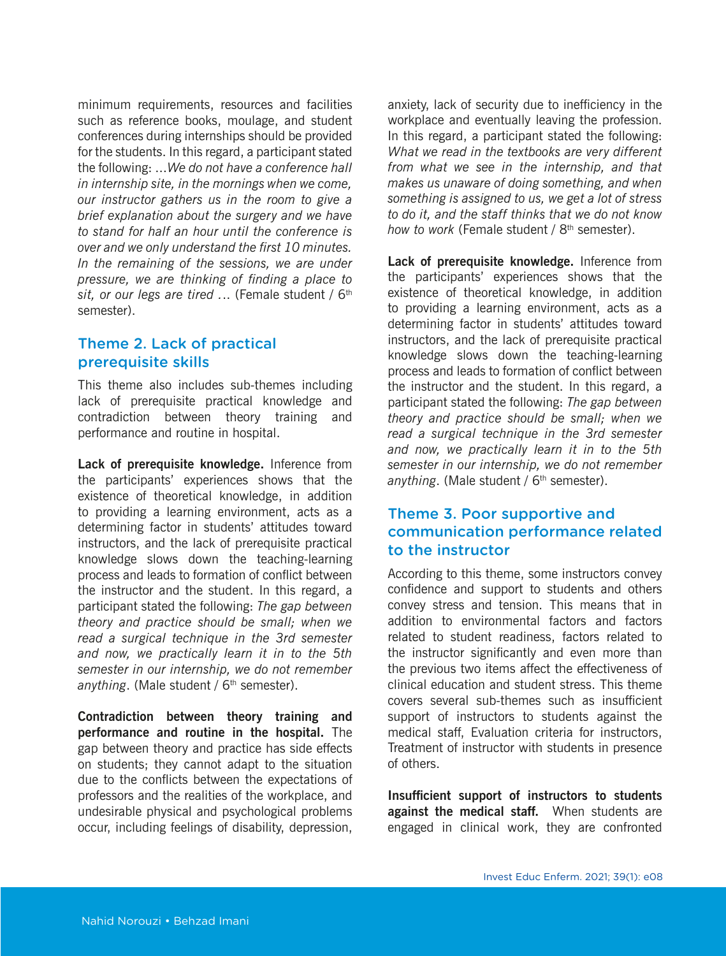minimum requirements, resources and facilities such as reference books, moulage, and student conferences during internships should be provided for the students. In this regard, a participant stated the following: ...*We do not have a conference hall in internship site, in the mornings when we come, our instructor gathers us in the room to give a brief explanation about the surgery and we have to stand for half an hour until the conference is over and we only understand the first 10 minutes. In the remaining of the sessions, we are under pressure, we are thinking of finding a place to*  sit, or our legs are tired ... (Female student / 6<sup>th</sup> semester).

### Theme 2. Lack of practical prerequisite skills

This theme also includes sub-themes including lack of prerequisite practical knowledge and contradiction between theory training and performance and routine in hospital.

**Lack of prerequisite knowledge.** Inference from the participants' experiences shows that the existence of theoretical knowledge, in addition to providing a learning environment, acts as a determining factor in students' attitudes toward instructors, and the lack of prerequisite practical knowledge slows down the teaching-learning process and leads to formation of conflict between the instructor and the student. In this regard, a participant stated the following: *The gap between theory and practice should be small; when we read a surgical technique in the 3rd semester and now, we practically learn it in to the 5th semester in our internship, we do not remember*  anything. (Male student / 6<sup>th</sup> semester).

**Contradiction between theory training and performance and routine in the hospital.** The gap between theory and practice has side effects on students; they cannot adapt to the situation due to the conflicts between the expectations of professors and the realities of the workplace, and undesirable physical and psychological problems occur, including feelings of disability, depression,

anxiety, lack of security due to inefficiency in the workplace and eventually leaving the profession. In this regard, a participant stated the following: *What we read in the textbooks are very different from what we see in the internship, and that makes us unaware of doing something, and when something is assigned to us, we get a lot of stress to do it, and the staff thinks that we do not know how to work* (Female student / 8th semester).

**Lack of prerequisite knowledge.** Inference from the participants' experiences shows that the existence of theoretical knowledge, in addition to providing a learning environment, acts as a determining factor in students' attitudes toward instructors, and the lack of prerequisite practical knowledge slows down the teaching-learning process and leads to formation of conflict between the instructor and the student. In this regard, a participant stated the following: *The gap between theory and practice should be small; when we read a surgical technique in the 3rd semester and now, we practically learn it in to the 5th semester in our internship, we do not remember*  anything. (Male student / 6<sup>th</sup> semester).

### Theme 3. Poor supportive and communication performance related to the instructor

According to this theme, some instructors convey confidence and support to students and others convey stress and tension. This means that in addition to environmental factors and factors related to student readiness, factors related to the instructor significantly and even more than the previous two items affect the effectiveness of clinical education and student stress. This theme covers several sub-themes such as insufficient support of instructors to students against the medical staff, Evaluation criteria for instructors, Treatment of instructor with students in presence of others.

**Insufficient support of instructors to students against the medical staff.** When students are engaged in clinical work, they are confronted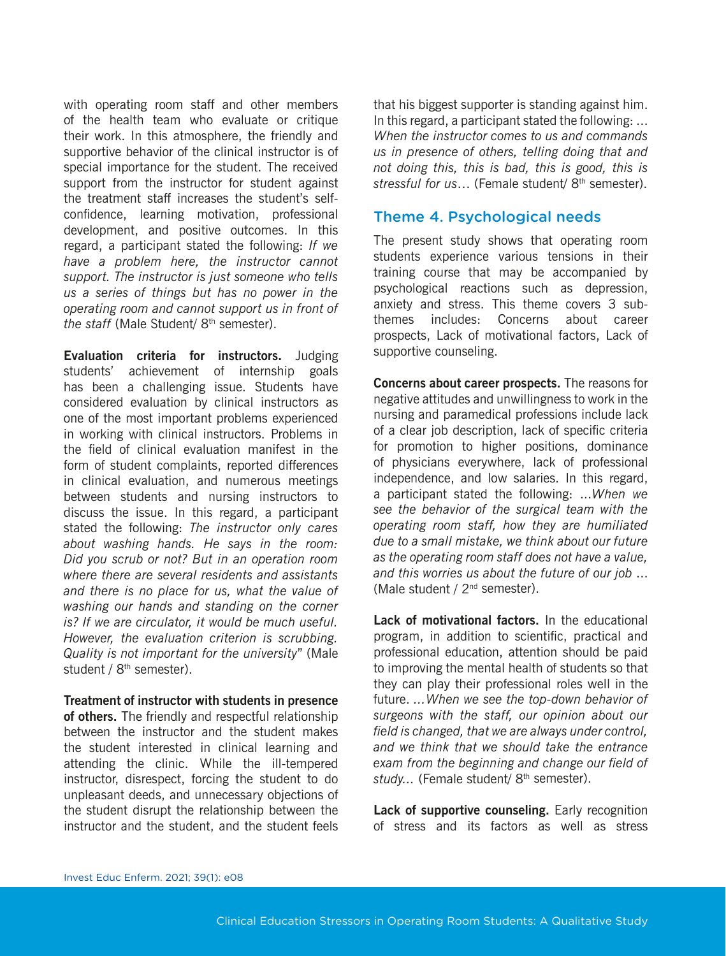with operating room staff and other members of the health team who evaluate or critique their work. In this atmosphere, the friendly and supportive behavior of the clinical instructor is of special importance for the student. The received support from the instructor for student against the treatment staff increases the student's selfconfidence, learning motivation, professional development, and positive outcomes. In this regard, a participant stated the following: *If we have a problem here, the instructor cannot support. The instructor is just someone who tells us a series of things but has no power in the operating room and cannot support us in front of the staff* (Male Student/ 8th semester).

**Evaluation criteria for instructors.** Judging students' achievement of internship goals has been a challenging issue. Students have considered evaluation by clinical instructors as one of the most important problems experienced in working with clinical instructors. Problems in the field of clinical evaluation manifest in the form of student complaints, reported differences in clinical evaluation, and numerous meetings between students and nursing instructors to discuss the issue. In this regard, a participant stated the following: *The instructor only cares about washing hands. He says in the room: Did you scrub or not? But in an operation room where there are several residents and assistants and there is no place for us, what the value of washing our hands and standing on the corner is? If we are circulator, it would be much useful. However, the evaluation criterion is scrubbing. Quality is not important for the university*" (Male student / 8<sup>th</sup> semester).

**Treatment of instructor with students in presence of others.** The friendly and respectful relationship between the instructor and the student makes the student interested in clinical learning and attending the clinic. While the ill-tempered instructor, disrespect, forcing the student to do unpleasant deeds, and unnecessary objections of the student disrupt the relationship between the instructor and the student, and the student feels

that his biggest supporter is standing against him. In this regard, a participant stated the following: ... *When the instructor comes to us and commands us in presence of others, telling doing that and not doing this, this is bad, this is good, this is*  stressful for us... (Female student/ 8<sup>th</sup> semester).

### Theme 4. Psychological needs

The present study shows that operating room students experience various tensions in their training course that may be accompanied by psychological reactions such as depression, anxiety and stress. This theme covers 3 subthemes includes: Concerns about career prospects, Lack of motivational factors, Lack of supportive counseling.

**Concerns about career prospects.** The reasons for negative attitudes and unwillingness to work in the nursing and paramedical professions include lack of a clear job description, lack of specific criteria for promotion to higher positions, dominance of physicians everywhere, lack of professional independence, and low salaries. In this regard, a participant stated the following: ...*When we see the behavior of the surgical team with the operating room staff, how they are humiliated due to a small mistake, we think about our future as the operating room staff does not have a value, and this worries us about the future of our job* ... (Male student / 2nd semester).

**Lack of motivational factors.** In the educational program, in addition to scientific, practical and professional education, attention should be paid to improving the mental health of students so that they can play their professional roles well in the future. *...When we see the top-down behavior of surgeons with the staff, our opinion about our field is changed, that we are always under control, and we think that we should take the entrance exam from the beginning and change our field of*  study... (Female student/ 8<sup>th</sup> semester).

Lack of supportive counseling. Early recognition of stress and its factors as well as stress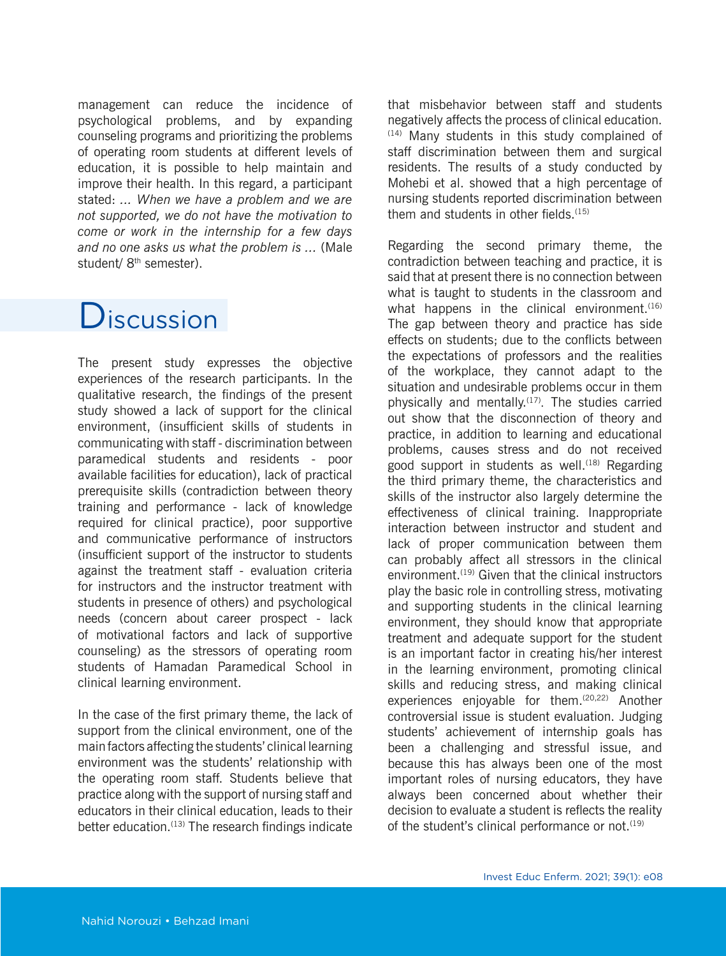management can reduce the incidence of psychological problems, and by expanding counseling programs and prioritizing the problems of operating room students at different levels of education, it is possible to help maintain and improve their health. In this regard, a participant stated: *... When we have a problem and we are not supported, we do not have the motivation to come or work in the internship for a few days and no one asks us what the problem is ...* (Male student/ 8<sup>th</sup> semester).

# **D**iscussion

The present study expresses the objective experiences of the research participants. In the qualitative research, the findings of the present study showed a lack of support for the clinical environment, (insufficient skills of students in communicating with staff - discrimination between paramedical students and residents - poor available facilities for education), lack of practical prerequisite skills (contradiction between theory training and performance - lack of knowledge required for clinical practice), poor supportive and communicative performance of instructors (insufficient support of the instructor to students against the treatment staff - evaluation criteria for instructors and the instructor treatment with students in presence of others) and psychological needs (concern about career prospect - lack of motivational factors and lack of supportive counseling) as the stressors of operating room students of Hamadan Paramedical School in clinical learning environment.

In the case of the first primary theme, the lack of support from the clinical environment, one of the main factors affecting the students' clinical learning environment was the students' relationship with the operating room staff. Students believe that practice along with the support of nursing staff and educators in their clinical education, leads to their better education.<sup>(13)</sup> The research findings indicate

that misbehavior between staff and students negatively affects the process of clinical education. (14) Many students in this study complained of staff discrimination between them and surgical residents. The results of a study conducted by Mohebi et al. showed that a high percentage of nursing students reported discrimination between them and students in other fields.<sup>(15)</sup>

Regarding the second primary theme, the contradiction between teaching and practice, it is said that at present there is no connection between what is taught to students in the classroom and what happens in the clinical environment.<sup>(16)</sup> The gap between theory and practice has side effects on students; due to the conflicts between the expectations of professors and the realities of the workplace, they cannot adapt to the situation and undesirable problems occur in them physically and mentally.(17). The studies carried out show that the disconnection of theory and practice, in addition to learning and educational problems, causes stress and do not received good support in students as well.<sup>(18)</sup> Regarding the third primary theme, the characteristics and skills of the instructor also largely determine the effectiveness of clinical training. Inappropriate interaction between instructor and student and lack of proper communication between them can probably affect all stressors in the clinical environment.<sup>(19)</sup> Given that the clinical instructors play the basic role in controlling stress, motivating and supporting students in the clinical learning environment, they should know that appropriate treatment and adequate support for the student is an important factor in creating his/her interest in the learning environment, promoting clinical skills and reducing stress, and making clinical experiences enjoyable for them.<sup>(20,22)</sup> Another controversial issue is student evaluation. Judging students' achievement of internship goals has been a challenging and stressful issue, and because this has always been one of the most important roles of nursing educators, they have always been concerned about whether their decision to evaluate a student is reflects the reality of the student's clinical performance or not.<sup>(19)</sup>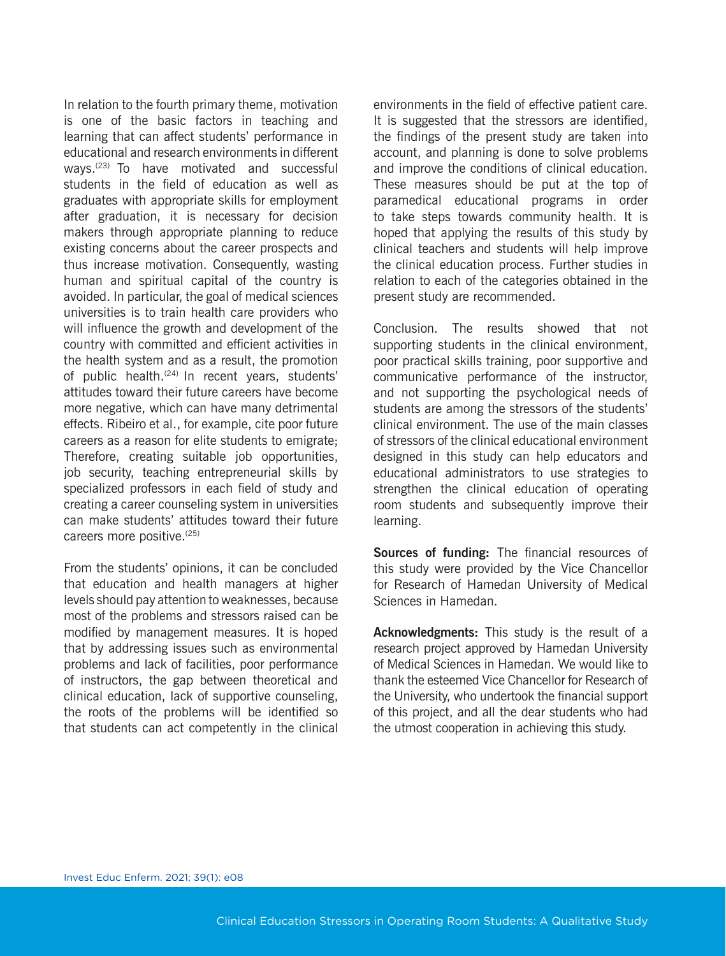In relation to the fourth primary theme, motivation is one of the basic factors in teaching and learning that can affect students' performance in educational and research environments in different ways.<sup>(23)</sup> To have motivated and successful students in the field of education as well as graduates with appropriate skills for employment after graduation, it is necessary for decision makers through appropriate planning to reduce existing concerns about the career prospects and thus increase motivation. Consequently, wasting human and spiritual capital of the country is avoided. In particular, the goal of medical sciences universities is to train health care providers who will influence the growth and development of the country with committed and efficient activities in the health system and as a result, the promotion of public health.<sup>(24)</sup> In recent years, students' attitudes toward their future careers have become more negative, which can have many detrimental effects. Ribeiro et al., for example, cite poor future careers as a reason for elite students to emigrate; Therefore, creating suitable job opportunities, job security, teaching entrepreneurial skills by specialized professors in each field of study and creating a career counseling system in universities can make students' attitudes toward their future careers more positive.<sup>(25)</sup>

From the students' opinions, it can be concluded that education and health managers at higher levels should pay attention to weaknesses, because most of the problems and stressors raised can be modified by management measures. It is hoped that by addressing issues such as environmental problems and lack of facilities, poor performance of instructors, the gap between theoretical and clinical education, lack of supportive counseling, the roots of the problems will be identified so that students can act competently in the clinical

environments in the field of effective patient care. It is suggested that the stressors are identified, the findings of the present study are taken into account, and planning is done to solve problems and improve the conditions of clinical education. These measures should be put at the top of paramedical educational programs in order to take steps towards community health. It is hoped that applying the results of this study by clinical teachers and students will help improve the clinical education process. Further studies in relation to each of the categories obtained in the present study are recommended.

Conclusion. The results showed that not supporting students in the clinical environment, poor practical skills training, poor supportive and communicative performance of the instructor, and not supporting the psychological needs of students are among the stressors of the students' clinical environment. The use of the main classes of stressors of the clinical educational environment designed in this study can help educators and educational administrators to use strategies to strengthen the clinical education of operating room students and subsequently improve their learning.

**Sources of funding:** The financial resources of this study were provided by the Vice Chancellor for Research of Hamedan University of Medical Sciences in Hamedan.

**Acknowledgments:** This study is the result of a research project approved by Hamedan University of Medical Sciences in Hamedan. We would like to thank the esteemed Vice Chancellor for Research of the University, who undertook the financial support of this project, and all the dear students who had the utmost cooperation in achieving this study.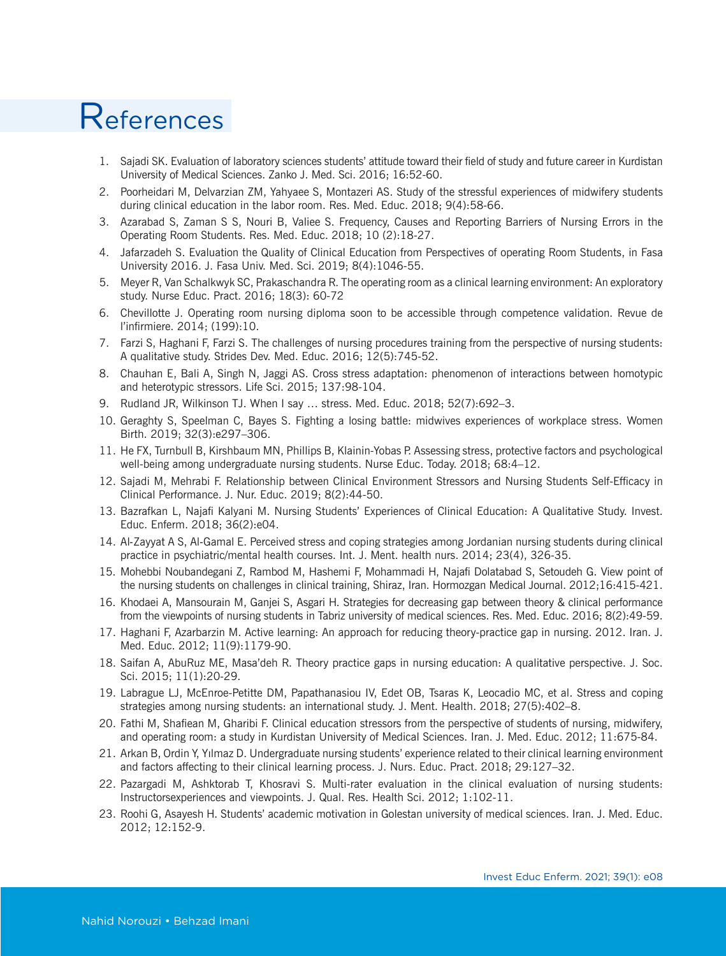## References

- 1. Sajadi SK. Evaluation of laboratory sciences students' attitude toward their field of study and future career in Kurdistan University of Medical Sciences. Zanko J. Med. Sci. 2016; 16:52-60.
- 2. Poorheidari M, Delvarzian ZM, Yahyaee S, Montazeri AS. Study of the stressful experiences of midwifery students during clinical education in the labor room. Res. Med. Educ. 2018; 9(4):58-66.
- 3. Azarabad S, Zaman S S, Nouri B, Valiee S. Frequency, Causes and Reporting Barriers of Nursing Errors in the Operating Room Students. Res. Med. Educ. 2018; 10 (2):18-27.
- 4. Jafarzadeh S. Evaluation the Quality of Clinical Education from Perspectives of operating Room Students, in Fasa University 2016. J. Fasa Univ. Med. Sci. 2019; 8(4):1046-55.
- 5. Meyer R, Van Schalkwyk SC, Prakaschandra R. The operating room as a clinical learning environment: An exploratory study. Nurse Educ. Pract. 2016; 18(3): 60-72
- 6. Chevillotte J. Operating room nursing diploma soon to be accessible through competence validation. Revue de l'infirmiere. 2014; (199):10.
- 7. Farzi S, Haghani F, Farzi S. The challenges of nursing procedures training from the perspective of nursing students: A qualitative study. Strides Dev. Med. Educ. 2016; 12(5):745-52.
- 8. Chauhan E, Bali A, Singh N, Jaggi AS. Cross stress adaptation: phenomenon of interactions between homotypic and heterotypic stressors. Life Sci. 2015; 137:98-104.
- 9. Rudland JR, Wilkinson TJ. When I say … stress. Med. Educ. 2018; 52(7):692–3.
- 10. Geraghty S, Speelman C, Bayes S. Fighting a losing battle: midwives experiences of workplace stress. Women Birth. 2019; 32(3):e297–306.
- 11. He FX, Turnbull B, Kirshbaum MN, Phillips B, Klainin-Yobas P. Assessing stress, protective factors and psychological well-being among undergraduate nursing students. Nurse Educ. Today. 2018; 68:4–12.
- 12. Sajadi M, Mehrabi F. Relationship between Clinical Environment Stressors and Nursing Students Self-Efficacy in Clinical Performance. J. Nur. Educ. 2019; 8(2):44-50.
- 13. Bazrafkan L, Najafi Kalyani M. Nursing Students' Experiences of Clinical Education: A Qualitative Study. Invest. Educ. Enferm. 2018; 36(2):e04.
- 14. Al‐Zayyat A S, Al‐Gamal E. Perceived stress and coping strategies among Jordanian nursing students during clinical practice in psychiatric/mental health courses. Int. J. Ment. health nurs. 2014; 23(4), 326-35.
- 15. Mohebbi Noubandegani Z, Rambod M, Hashemi F, Mohammadi H, Najafi Dolatabad S, Setoudeh G. View point of the nursing students on challenges in clinical training, Shiraz, Iran. Hormozgan Medical Journal. 2012;16:415-421.
- 16. Khodaei A, Mansourain M, Ganjei S, Asgari H. Strategies for decreasing gap between theory & clinical performance from the viewpoints of nursing students in Tabriz university of medical sciences. Res. Med. Educ. 2016; 8(2):49-59.
- 17. Haghani F, Azarbarzin M. Active learning: An approach for reducing theory-practice gap in nursing. 2012. Iran. J. Med. Educ. 2012; 11(9):1179-90.
- 18. Saifan A, AbuRuz ME, Masa'deh R. Theory practice gaps in nursing education: A qualitative perspective. J. Soc. Sci. 2015; 11(1):20-29.
- 19. Labrague LJ, McEnroe-Petitte DM, Papathanasiou IV, Edet OB, Tsaras K, Leocadio MC, et al. Stress and coping strategies among nursing students: an international study. J. Ment. Health. 2018; 27(5):402–8.
- 20. Fathi M, Shafiean M, Gharibi F. Clinical education stressors from the perspective of students of nursing, midwifery, and operating room: a study in Kurdistan University of Medical Sciences. Iran. J. Med. Educ. 2012; 11:675-84.
- 21. Arkan B, Ordin Y, Yılmaz D. Undergraduate nursing students' experience related to their clinical learning environment and factors affecting to their clinical learning process. J. Nurs. Educ. Pract. 2018; 29:127–32.
- 22. Pazargadi M, Ashktorab T, Khosravi S. Multi-rater evaluation in the clinical evaluation of nursing students: Instructorsexperiences and viewpoints. J. Qual. Res. Health Sci. 2012; 1:102-11.
- 23. Roohi G, Asayesh H. Students' academic motivation in Golestan university of medical sciences. Iran. J. Med. Educ. 2012; 12:152-9.